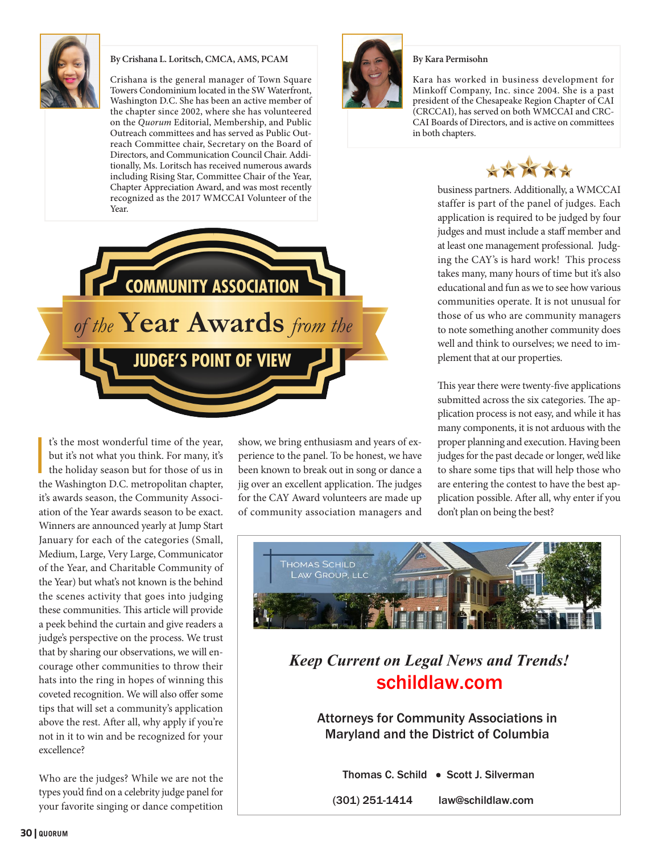

## **By Crishana L. Loritsch, CMCA, AMS, PCAM**

Crishana is the general manager of Town Square Towers Condominium located in the SW Waterfront, Washington D.C. She has been an active member of the chapter since 2002, where she has volunteered on the *Quorum* Editorial, Membership, and Public Outreach committees and has served as Public Outreach Committee chair, Secretary on the Board of Directors, and Communication Council Chair. Additionally, Ms. Loritsch has received numerous awards including Rising Star, Committee Chair of the Year, Chapter Appreciation Award, and was most recently recognized as the 2017 WMCCAI Volunteer of the Year.



I t's the most wonderful time of the year, but it's not what you think. For many, it's the holiday season but for those of us in the Washington D.C. metropolitan chapter, it's awards season, the Community Association of the Year awards season to be exact. Winners are announced yearly at Jump Start January for each of the categories (Small, Medium, Large, Very Large, Communicator of the Year, and Charitable Community of the Year) but what's not known is the behind the scenes activity that goes into judging these communities. This article will provide a peek behind the curtain and give readers a judge's perspective on the process. We trust that by sharing our observations, we will encourage other communities to throw their hats into the ring in hopes of winning this coveted recognition. We will also offer some tips that will set a community's application above the rest. After all, why apply if you're not in it to win and be recognized for your excellence?

Who are the judges? While we are not the types you'd find on a celebrity judge panel for your favorite singing or dance competition show, we bring enthusiasm and years of experience to the panel. To be honest, we have been known to break out in song or dance a jig over an excellent application. The judges for the CAY Award volunteers are made up of community association managers and



Kara has worked in business development for Minkoff Company, Inc. since 2004. She is a past president of the Chesapeake Region Chapter of CAI (CRCCAI), has served on both WMCCAI and CRC-CAI Boards of Directors, and is active on committees in both chapters.



business partners. Additionally, a WMCCAI staffer is part of the panel of judges. Each application is required to be judged by four judges and must include a staff member and at least one management professional. Judging the CAY's is hard work! This process takes many, many hours of time but it's also educational and fun as we to see how various communities operate. It is not unusual for those of us who are community managers to note something another community does well and think to ourselves; we need to implement that at our properties.

many components, it is not arduous with the This year there were twenty-five applications submitted across the six categories. The application process is not easy, and while it has proper planning and execution. Having been judges for the past decade or longer, we'd like to share some tips that will help those who are entering the contest to have the best application possible. After all, why enter if you don't plan on being the best?



*Keep Current on Legal News and Trends!*  schildlaw.com

Attorneys for Community Associations in Maryland and the District of Columbia

Thomas C. Schild • Scott J. Silverman

(301) 251-1414 law@schildlaw.com